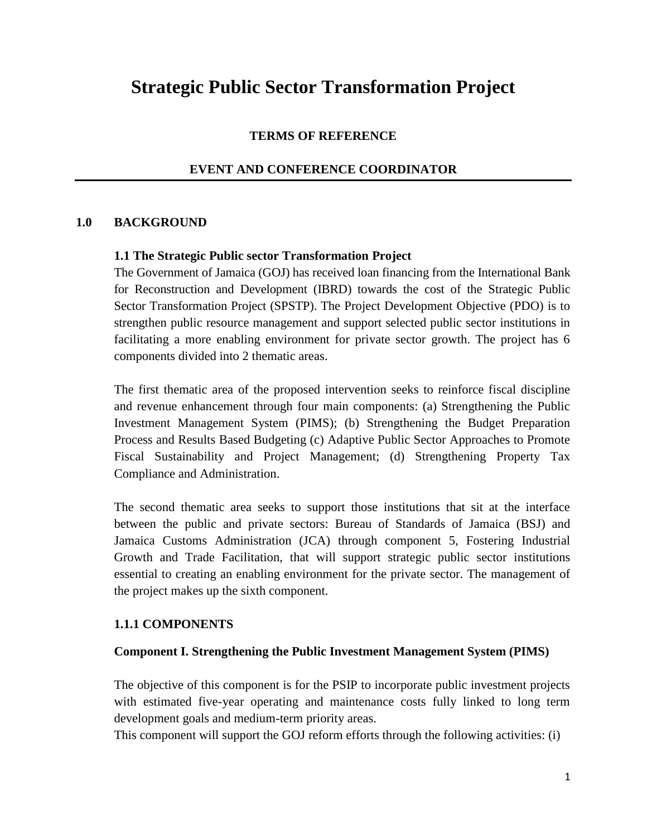# **Strategic Public Sector Transformation Project**

#### **TERMS OF REFERENCE**

#### **EVENT AND CONFERENCE COORDINATOR**

#### **1.0 BACKGROUND**

#### **1.1 The Strategic Public sector Transformation Project**

The Government of Jamaica (GOJ) has received loan financing from the International Bank for Reconstruction and Development (IBRD) towards the cost of the Strategic Public Sector Transformation Project (SPSTP). The Project Development Objective (PDO) is to strengthen public resource management and support selected public sector institutions in facilitating a more enabling environment for private sector growth. The project has 6 components divided into 2 thematic areas.

The first thematic area of the proposed intervention seeks to reinforce fiscal discipline and revenue enhancement through four main components: (a) Strengthening the Public Investment Management System (PIMS); (b) Strengthening the Budget Preparation Process and Results Based Budgeting (c) Adaptive Public Sector Approaches to Promote Fiscal Sustainability and Project Management; (d) Strengthening Property Tax Compliance and Administration.

The second thematic area seeks to support those institutions that sit at the interface between the public and private sectors: Bureau of Standards of Jamaica (BSJ) and Jamaica Customs Administration (JCA) through component 5, Fostering Industrial Growth and Trade Facilitation, that will support strategic public sector institutions essential to creating an enabling environment for the private sector. The management of the project makes up the sixth component.

#### **1.1.1 COMPONENTS**

#### **Component I. Strengthening the Public Investment Management System (PIMS)**

The objective of this component is for the PSIP to incorporate public investment projects with estimated five-year operating and maintenance costs fully linked to long term development goals and medium-term priority areas.

This component will support the GOJ reform efforts through the following activities: (i)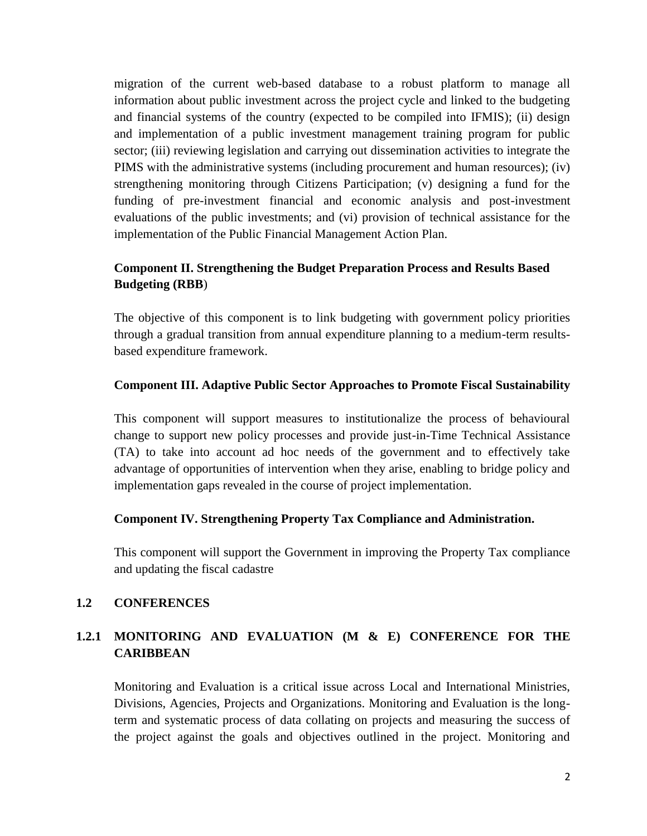migration of the current web-based database to a robust platform to manage all information about public investment across the project cycle and linked to the budgeting and financial systems of the country (expected to be compiled into IFMIS); (ii) design and implementation of a public investment management training program for public sector; (iii) reviewing legislation and carrying out dissemination activities to integrate the PIMS with the administrative systems (including procurement and human resources); (iv) strengthening monitoring through Citizens Participation; (v) designing a fund for the funding of pre-investment financial and economic analysis and post-investment evaluations of the public investments; and (vi) provision of technical assistance for the implementation of the Public Financial Management Action Plan.

# **Component II. Strengthening the Budget Preparation Process and Results Based Budgeting (RBB**)

The objective of this component is to link budgeting with government policy priorities through a gradual transition from annual expenditure planning to a medium-term results based expenditure framework.

### **Component III. Adaptive Public Sector Approaches to Promote Fiscal Sustainability**

This component will support measures to institutionalize the process of behavioural change to support new policy processes and provide just-in-Time Technical Assistance (TA) to take into account ad hoc needs of the government and to effectively take advantage of opportunities of intervention when they arise, enabling to bridge policy and implementation gaps revealed in the course of project implementation.

#### **Component IV. Strengthening Property Tax Compliance and Administration.**

This component will support the Government in improving the Property Tax compliance and updating the fiscal cadastre

### **1.2 CONFERENCES**

# **1.2.1 MONITORING AND EVALUATION (M & E) CONFERENCE FOR THE CARIBBEAN**

Monitoring and Evaluation is a critical issue across Local and International Ministries, Divisions, Agencies, Projects and Organizations. Monitoring and Evaluation is the longterm and systematic process of data collating on projects and measuring the success of the project against the goals and objectives outlined in the project. Monitoring and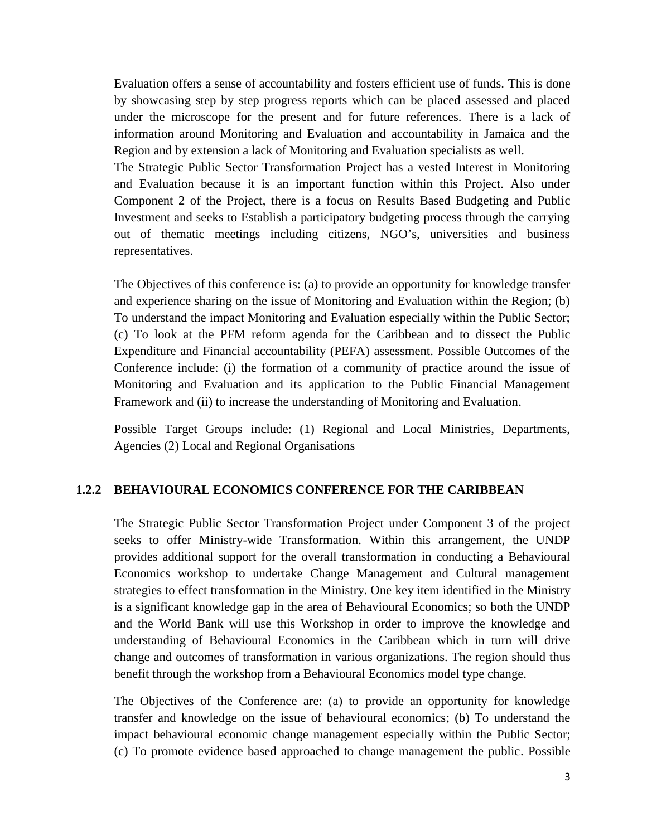Evaluation offers a sense of accountability and fosters efficient use of funds. This is done by showcasing step by step progress reports which can be placed assessed and placed under the microscope for the present and for future references. There is a lack of information around Monitoring and Evaluation and accountability in Jamaica and the Region and by extension a lack of Monitoring and Evaluation specialists as well.

The Strategic Public Sector Transformation Project has a vested Interest in Monitoring and Evaluation because it is an important function within this Project. Also under Component 2 of the Project, there is a focus on Results Based Budgeting and Public Investment and seeks to Establish a participatory budgeting process through the carrying out of thematic meetings including citizens, NGO's, universities and business representatives.

The Objectives of this conference is: (a) to provide an opportunity for knowledge transfer and experience sharing on the issue of Monitoring and Evaluation within the Region; (b) To understand the impact Monitoring and Evaluation especially within the Public Sector; (c) To look at the PFM reform agenda for the Caribbean and to dissect the Public Expenditure and Financial accountability (PEFA) assessment. Possible Outcomes of the Conference include: (i) the formation of a community of practice around the issue of Monitoring and Evaluation and its application to the Public Financial Management Framework and (ii) to increase the understanding of Monitoring and Evaluation.

Possible Target Groups include: (1) Regional and Local Ministries, Departments, Agencies (2) Local and Regional Organisations

#### **1.2.2 BEHAVIOURAL ECONOMICS CONFERENCE FOR THE CARIBBEAN**

The Strategic Public Sector Transformation Project under Component 3 of the project seeks to offer Ministry-wide Transformation. Within this arrangement, the UNDP provides additional support for the overall transformation in conducting a Behavioural Economics workshop to undertake Change Management and Cultural management strategies to effect transformation in the Ministry. One key item identified in the Ministry is a significant knowledge gap in the area of Behavioural Economics; so both the UNDP and the World Bank will use this Workshop in order to improve the knowledge and understanding of Behavioural Economics in the Caribbean which in turn will drive change and outcomes of transformation in various organizations. The region should thus benefit through the workshop from a Behavioural Economics model type change.

The Objectives of the Conference are: (a) to provide an opportunity for knowledge transfer and knowledge on the issue of behavioural economics; (b) To understand the impact behavioural economic change management especially within the Public Sector; (c) To promote evidence based approached to change management the public. Possible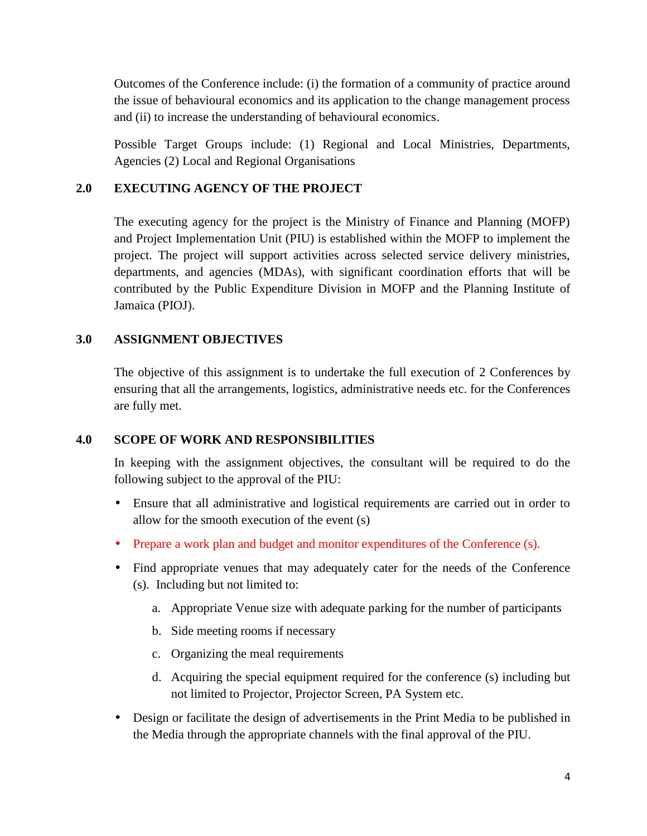Outcomes of the Conference include: (i) the formation of a community of practice around the issue of behavioural economics and its application to the change management process and (ii) to increase the understanding of behavioural economics.

Possible Target Groups include: (1) Regional and Local Ministries, Departments, Agencies (2) Local and Regional Organisations

### **2.0 EXECUTING AGENCY OF THE PROJECT**

The executing agency for the project is the Ministry of Finance and Planning (MOFP) and Project Implementation Unit (PIU) is established within the MOFP to implement the project. The project will support activities across selected service delivery ministries, departments, and agencies (MDAs), with significant coordination efforts that will be contributed by the Public Expenditure Division in MOFP and the Planning Institute of Jamaica (PIOJ).

### **3.0 ASSIGNMENT OBJECTIVES**

The objective of this assignment is to undertake the full execution of 2 Conferences by ensuring that all the arrangements, logistics, administrative needs etc. for the Conferences are fully met.

### **4.0 SCOPE OF WORK AND RESPONSIBILITIES**

In keeping with the assignment objectives, the consultant will be required to do the following subject to the approval of the PIU:

- Ensure that all administrative and logistical requirements are carried out in order to allow for the smooth execution of the event (s)
- Prepare a work plan and budget and monitor expenditures of the Conference (s).
- Find appropriate venues that may adequately cater for the needs of the Conference (s). Including but not limited to:
	- a. Appropriate Venue size with adequate parking for the number of participants
	- b. Side meeting rooms if necessary
	- c. Organizing the meal requirements
	- d. Acquiring the special equipment required for the conference (s) including but not limited to Projector, Projector Screen, PA System etc.
- Design or facilitate the design of advertisements in the Print Media to be published in the Media through the appropriate channels with the final approval of the PIU.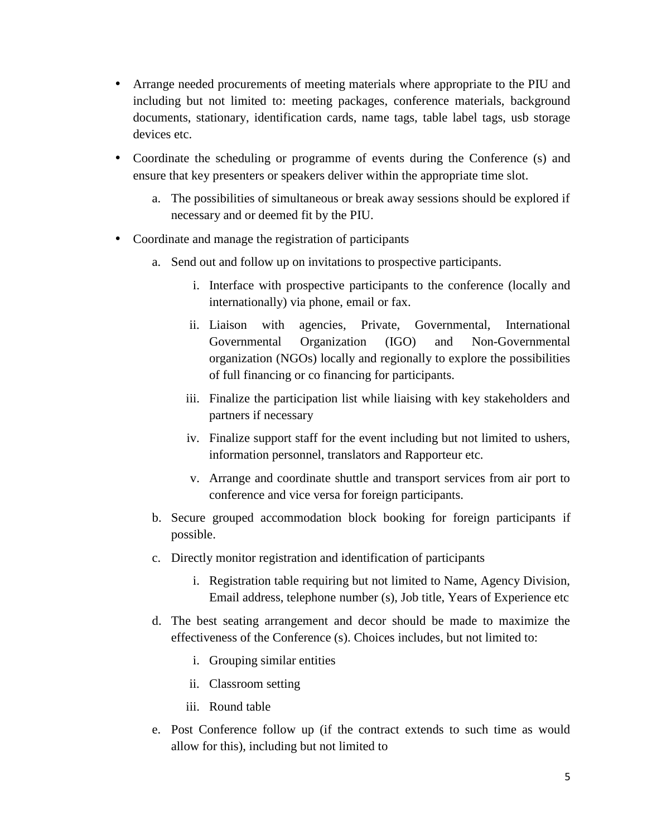- Arrange needed procurements of meeting materials where appropriate to the PIU and including but not limited to: meeting packages, conference materials, background documents, stationary, identification cards, name tags, table label tags, usb storage devices etc.
- Coordinate the scheduling or programme of events during the Conference (s) and ensure that key presenters or speakers deliver within the appropriate time slot.
	- a. The possibilities of simultaneous or break away sessions should be explored if necessary and or deemed fit by the PIU.
- Coordinate and manage the registration of participants
	- a. Send out and follow up on invitations to prospective participants.
		- i. Interface with prospective participants to the conference (locally and internationally) via phone, email or fax.
		- ii. Liaison with agencies, Private, Governmental, International Governmental Organization (IGO) and Non-Governmental organization (NGOs) locally and regionally to explore the possibilities of full financing or co financing for participants.
		- iii. Finalize the participation list while liaising with key stakeholders and partners if necessary
		- iv. Finalize support staff for the event including but not limited to ushers, information personnel, translators and Rapporteur etc.
		- v. Arrange and coordinate shuttle and transport services from air port to conference and vice versa for foreign participants.
	- b. Secure grouped accommodation block booking for foreign participants if possible.
	- c. Directly monitor registration and identification of participants
		- i. Registration table requiring but not limited to Name, Agency Division, Email address, telephone number (s), Job title, Years of Experience etc
	- d. The best seating arrangement and decor should be made to maximize the effectiveness of the Conference (s). Choices includes, but not limited to:
		- i. Grouping similar entities
		- ii. Classroom setting
		- iii. Round table
	- e. Post Conference follow up (if the contract extends to such time as would allow for this), including but not limited to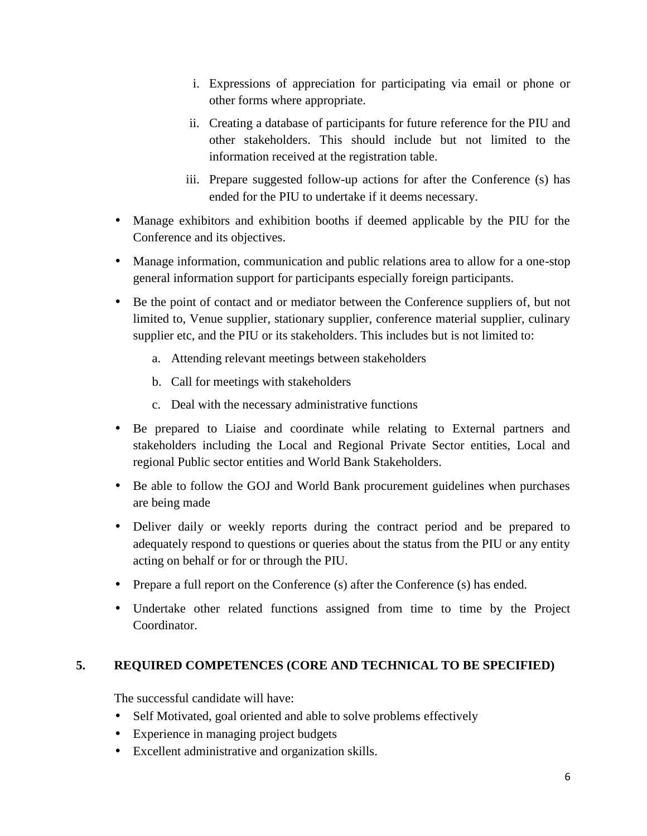- i. Expressions of appreciation for participating via email or phone or other forms where appropriate.
- ii. Creating a database of participants for future reference for the PIU and other stakeholders. This should include but not limited to the information received at the registration table.
- iii. Prepare suggested follow-up actions for after the Conference (s) has ended for the PIU to undertake if it deems necessary.
- Manage exhibitors and exhibition booths if deemed applicable by the PIU for the Conference and its objectives.
- Manage information, communication and public relations area to allow for a one-stop general information support for participants especially foreign participants.
- Be the point of contact and or mediator between the Conference suppliers of, but not limited to, Venue supplier, stationary supplier, conference material supplier, culinary supplier etc, and the PIU or its stakeholders. This includes but is not limited to:
	- a. Attending relevant meetings between stakeholders
	- b. Call for meetings with stakeholders
	- c. Deal with the necessary administrative functions
- Be prepared to Liaise and coordinate while relating to External partners and stakeholders including the Local and Regional Private Sector entities, Local and regional Public sector entities and World Bank Stakeholders.
- Be able to follow the GOJ and World Bank procurement guidelines when purchases are being made
- Deliver daily or weekly reports during the contract period and be prepared to adequately respond to questions or queries about the status from the PIU or any entity acting on behalf or for or through the PIU.
- Prepare a full report on the Conference (s) after the Conference (s) has ended.
- Undertake other related functions assigned from time to time by the Project Coordinator.

### **5. REQUIRED COMPETENCES (CORE AND TECHNICAL TO BE SPECIFIED)**

The successful candidate will have:

- Self Motivated, goal oriented and able to solve problems effectively
- Experience in managing project budgets
- Excellent administrative and organization skills.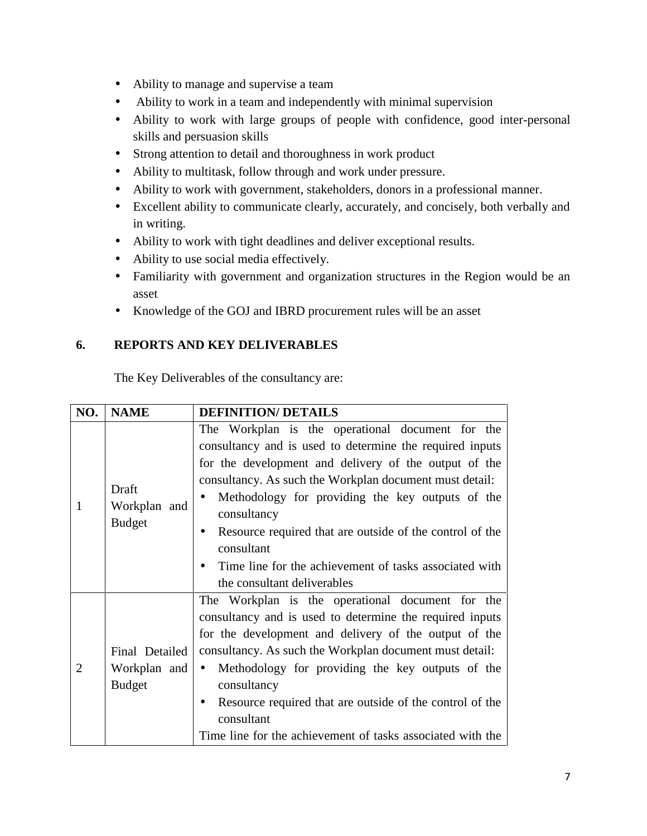- Ability to manage and supervise a team
- Ability to work in a team and independently with minimal supervision
- Ability to work with large groups of people with confidence, good inter-personal skills and persuasion skills
- Strong attention to detail and thoroughness in work product
- Ability to multitask, follow through and work under pressure.
- Ability to work with government, stakeholders, donors in a professional manner.
- Excellent ability to communicate clearly, accurately, and concisely, both verbally and in writing.
- Ability to work with tight deadlines and deliver exceptional results.
- Ability to use social media effectively.
- Familiarity with government and organization structures in the Region would be an asset
- Knowledge of the GOJ and IBRD procurement rules will be an asset

### **6. REPORTS AND KEY DELIVERABLES**

The Key Deliverables of the consultancy are:

| NO.            | <b>NAME</b>                                     | <b>DEFINITION/ DETAILS</b>                                                                                                                                                                                                                                                                                                                                                                                                                                             |  |  |
|----------------|-------------------------------------------------|------------------------------------------------------------------------------------------------------------------------------------------------------------------------------------------------------------------------------------------------------------------------------------------------------------------------------------------------------------------------------------------------------------------------------------------------------------------------|--|--|
| 1              | Draft<br>Workplan and<br><b>Budget</b>          | The Workplan is the operational document for the<br>consultancy and is used to determine the required inputs<br>for the development and delivery of the output of the<br>consultancy. As such the Workplan document must detail:<br>Methodology for providing the key outputs of the<br>consultancy<br>Resource required that are outside of the control of the<br>consultant<br>Time line for the achievement of tasks associated with<br>the consultant deliverables |  |  |
| $\overline{2}$ | Final Detailed<br>Workplan and<br><b>Budget</b> | The Workplan is the operational document for the<br>consultancy and is used to determine the required inputs<br>for the development and delivery of the output of the<br>consultancy. As such the Workplan document must detail:<br>• Methodology for providing the key outputs of the<br>consultancy<br>Resource required that are outside of the control of the<br>consultant<br>Time line for the achievement of tasks associated with the                          |  |  |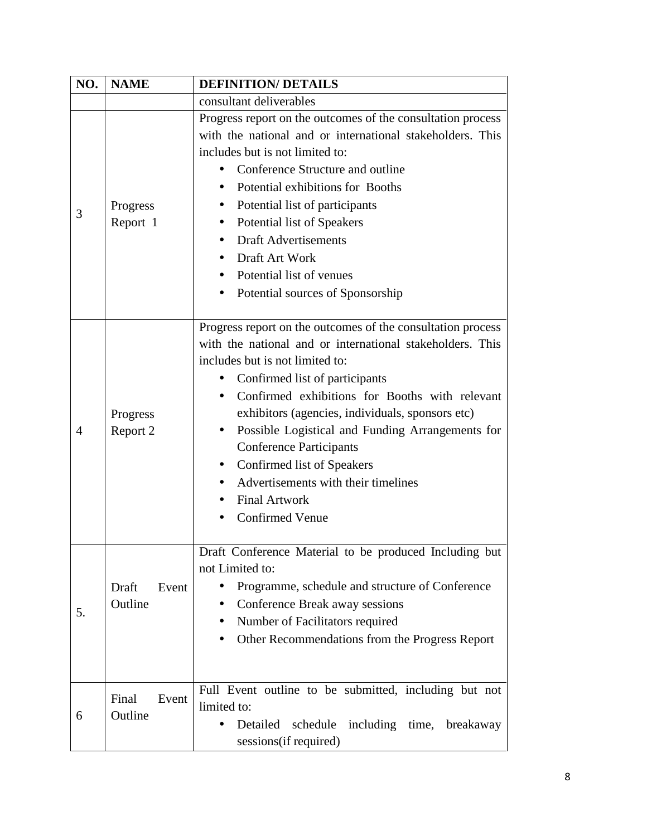| NO. | <b>NAME</b>               | <b>DEFINITION/ DETAILS</b>                                                                                                                                                                                                                                                                                                                                                                                                                                                                                       |  |
|-----|---------------------------|------------------------------------------------------------------------------------------------------------------------------------------------------------------------------------------------------------------------------------------------------------------------------------------------------------------------------------------------------------------------------------------------------------------------------------------------------------------------------------------------------------------|--|
|     |                           | consultant deliverables                                                                                                                                                                                                                                                                                                                                                                                                                                                                                          |  |
| 3   | Progress<br>Report 1      | Progress report on the outcomes of the consultation process<br>with the national and or international stakeholders. This<br>includes but is not limited to:<br>Conference Structure and outline<br>Potential exhibitions for Booths<br>$\bullet$<br>Potential list of participants<br>$\bullet$<br>Potential list of Speakers<br><b>Draft Advertisements</b><br>Draft Art Work<br>Potential list of venues<br>Potential sources of Sponsorship                                                                   |  |
| 4   | Progress<br>Report 2      | Progress report on the outcomes of the consultation process<br>with the national and or international stakeholders. This<br>includes but is not limited to:<br>Confirmed list of participants<br>Confirmed exhibitions for Booths with relevant<br>exhibitors (agencies, individuals, sponsors etc)<br>Possible Logistical and Funding Arrangements for<br><b>Conference Participants</b><br>Confirmed list of Speakers<br>Advertisements with their timelines<br><b>Final Artwork</b><br><b>Confirmed Venue</b> |  |
| 5.  | Draft<br>Event<br>Outline | Draft Conference Material to be produced Including but<br>not Limited to:<br>Programme, schedule and structure of Conference<br>$\bullet$<br>Conference Break away sessions<br>$\bullet$<br>Number of Facilitators required<br>Other Recommendations from the Progress Report                                                                                                                                                                                                                                    |  |
| 6   | Final<br>Event<br>Outline | Full Event outline to be submitted, including but not<br>limited to:<br>Detailed<br>schedule<br>including time, breakaway<br>$\bullet$<br>sessions (if required)                                                                                                                                                                                                                                                                                                                                                 |  |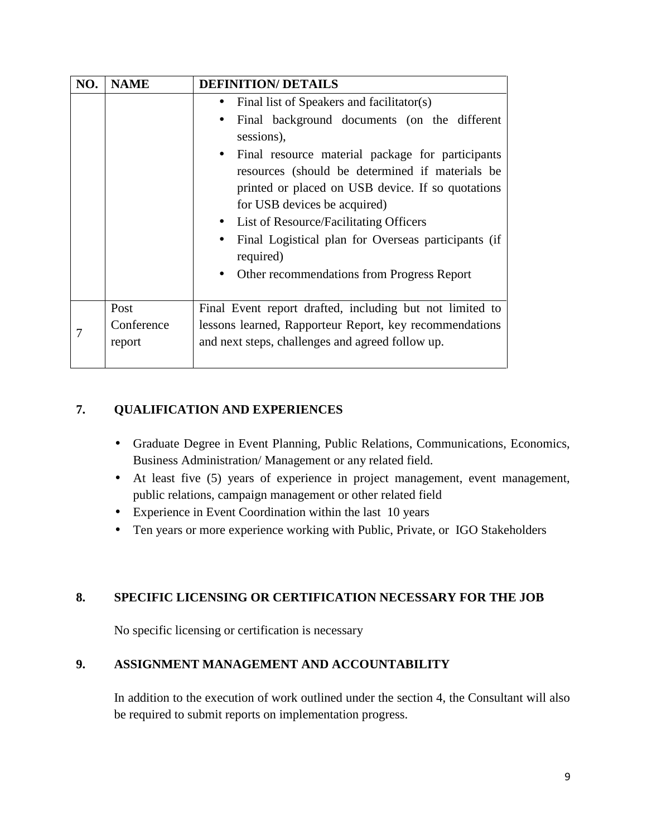| NO. | <b>NAME</b>                  | <b>DEFINITION/ DETAILS</b>                                                                                                                                                                                                                                                                                                                                                                                                                                                                             |  |  |
|-----|------------------------------|--------------------------------------------------------------------------------------------------------------------------------------------------------------------------------------------------------------------------------------------------------------------------------------------------------------------------------------------------------------------------------------------------------------------------------------------------------------------------------------------------------|--|--|
|     |                              | Final list of Speakers and facilitator(s)<br>$\bullet$<br>Final background documents (on the different<br>sessions),<br>Final resource material package for participants<br>$\bullet$<br>resources (should be determined if materials be<br>printed or placed on USB device. If so quotations<br>for USB devices be acquired)<br>List of Resource/Facilitating Officers<br>Final Logistical plan for Overseas participants (if<br>$\bullet$<br>required)<br>Other recommendations from Progress Report |  |  |
|     | Post<br>Conference<br>report | Final Event report drafted, including but not limited to<br>lessons learned, Rapporteur Report, key recommendations<br>and next steps, challenges and agreed follow up.                                                                                                                                                                                                                                                                                                                                |  |  |

# **7. QUALIFICATION AND EXPERIENCES**

- Graduate Degree in Event Planning, Public Relations, Communications, Economics, Business Administration/ Management or any related field.
- At least five (5) years of experience in project management, event management, public relations, campaign management or other related field
- Experience in Event Coordination within the last 10 years
- Ten years or more experience working with Public, Private, or IGO Stakeholders

# **8. SPECIFIC LICENSING OR CERTIFICATION NECESSARY FOR THE JOB**

No specific licensing or certification is necessary

### **9. ASSIGNMENT MANAGEMENT AND ACCOUNTABILITY**

In addition to the execution of work outlined under the section 4, the Consultant will also be required to submit reports on implementation progress.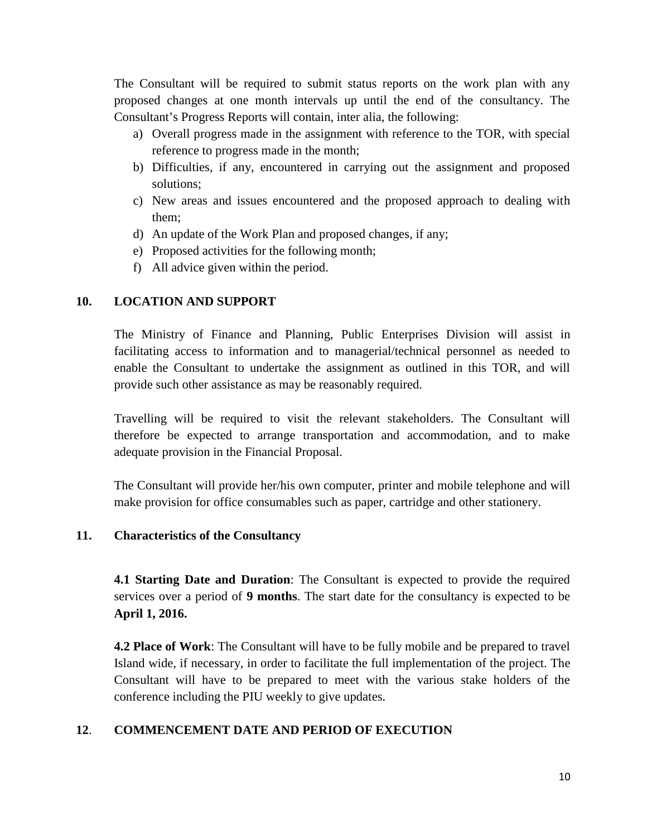The Consultant will be required to submit status reports on the work plan with any proposed changes at one month intervals up until the end of the consultancy. The Consultant's Progress Reports will contain, inter alia, the following:

- a) Overall progress made in the assignment with reference to the TOR, with special reference to progress made in the month;
- b) Difficulties, if any, encountered in carrying out the assignment and proposed solutions;
- c) New areas and issues encountered and the proposed approach to dealing with them;
- d) An update of the Work Plan and proposed changes, if any;
- e) Proposed activities for the following month;
- f) All advice given within the period.

### **10. LOCATION AND SUPPORT**

The Ministry of Finance and Planning, Public Enterprises Division will assist in facilitating access to information and to managerial/technical personnel as needed to enable the Consultant to undertake the assignment as outlined in this TOR, and will provide such other assistance as may be reasonably required.

Travelling will be required to visit the relevant stakeholders. The Consultant will therefore be expected to arrange transportation and accommodation, and to make adequate provision in the Financial Proposal.

The Consultant will provide her/his own computer, printer and mobile telephone and will make provision for office consumables such as paper, cartridge and other stationery.

### **11. Characteristics of the Consultancy**

**4.1 Starting Date and Duration**: The Consultant is expected to provide the required services over a period of **9 months**. The start date for the consultancy is expected to be **April 1, 2016.**

**4.2 Place of Work**: The Consultant will have to be fully mobile and be prepared to travel Island wide, if necessary, in order to facilitate the full implementation of the project. The Consultant will have to be prepared to meet with the various stake holders of the conference including the PIU weekly to give updates.

### **12**. **COMMENCEMENT DATE AND PERIOD OF EXECUTION**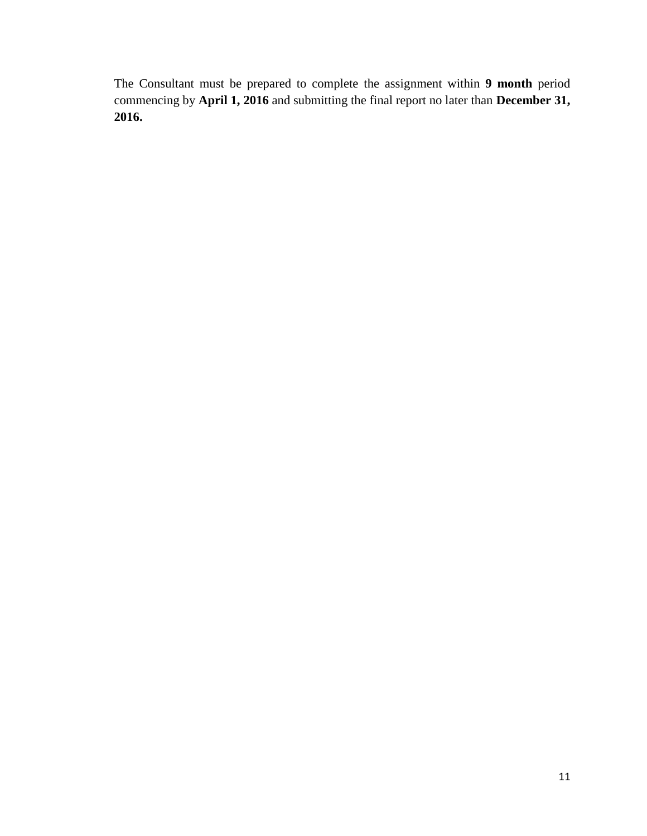The Consultant must be prepared to complete the assignment within **9 month** period commencing by **April 1, 2016** and submitting the final report no later than **December 31, 2016.**